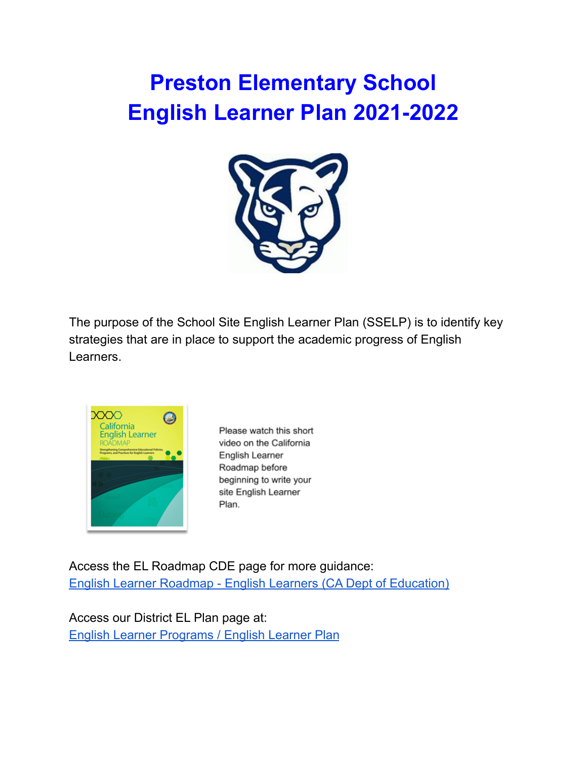# **Preston Elementary School English Learner Plan 2021-2022**



The purpose of the School Site English Learner Plan (SSELP) is to identify key strategies that are in place to support the academic progress of English Learners.



Please watch this short video on the California English Learner Roadmap before beginning to write your site English Learner Plan.

Access the EL Roadmap CDE page for more guidance: English Learner Roadmap - English Learners (CA Dept of [Education\)](https://www.cde.ca.gov/sp/el/rm/)

Access our District EL Plan page at: English Learner [Programs](https://kec.rialto.k12.ca.us/Page/2814) / English Learner Plan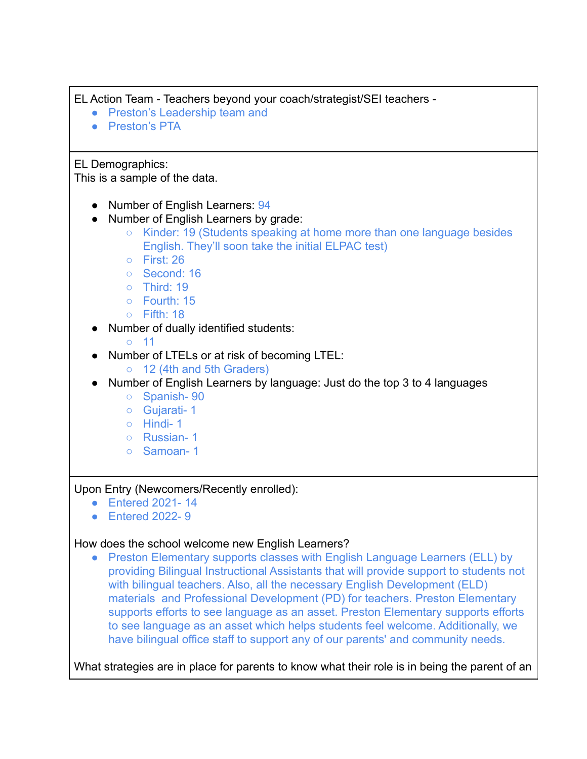EL Action Team - Teachers beyond your coach/strategist/SEI teachers -

- Preston's Leadership team and
- Preston's PTA

EL Demographics:

This is a sample of the data.

- Number of English Learners: 94
- Number of English Learners by grade:
	- Kinder: 19 (Students speaking at home more than one language besides English. They'll soon take the initial ELPAC test)
	- First: 26
	- Second: 16
	- Third: 19
	- Fourth: 15
	- $\circ$  Fifth: 18
- Number of dually identified students:
	- 11
- Number of LTELs or at risk of becoming LTEL:
	- 12 (4th and 5th Graders)
- Number of English Learners by language: Just do the top 3 to 4 languages
	- Spanish- 90
	- Gujarati- 1
	- Hindi- 1
	- Russian- 1
	- Samoan- 1

Upon Entry (Newcomers/Recently enrolled):

- Entered 2021- 14
- Entered 2022- 9

# How does the school welcome new English Learners?

● Preston Elementary supports classes with English Language Learners (ELL) by providing Bilingual Instructional Assistants that will provide support to students not with bilingual teachers. Also, all the necessary English Development (ELD) materials and Professional Development (PD) for teachers. Preston Elementary supports efforts to see language as an asset. Preston Elementary supports efforts to see language as an asset which helps students feel welcome. Additionally, we have bilingual office staff to support any of our parents' and community needs.

What strategies are in place for parents to know what their role is in being the parent of an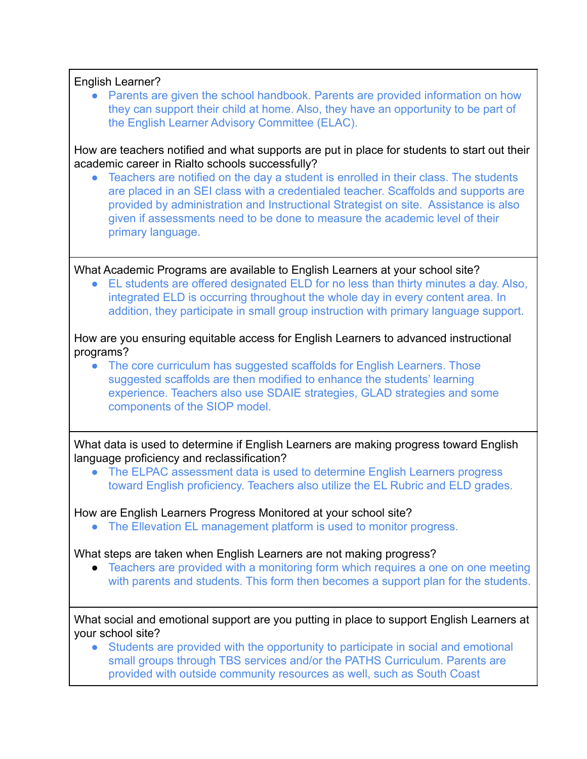English Learner? ● Parents are given the school handbook. Parents are provided information on how they can support their child at home. Also, they have an opportunity to be part of the English Learner Advisory Committee (ELAC). How are teachers notified and what supports are put in place for students to start out their academic career in Rialto schools successfully? Teachers are notified on the day a student is enrolled in their class. The students are placed in an SEI class with a credentialed teacher. Scaffolds and supports are provided by administration and Instructional Strategist on site. Assistance is also given if assessments need to be done to measure the academic level of their primary language. What Academic Programs are available to English Learners at your school site? ● EL students are offered designated ELD for no less than thirty minutes a day. Also, integrated ELD is occurring throughout the whole day in every content area. In addition, they participate in small group instruction with primary language support. How are you ensuring equitable access for English Learners to advanced instructional programs? • The core curriculum has suggested scaffolds for English Learners. Those suggested scaffolds are then modified to enhance the students' learning experience. Teachers also use SDAIE strategies, GLAD strategies and some components of the SIOP model. What data is used to determine if English Learners are making progress toward English language proficiency and reclassification? • The ELPAC assessment data is used to determine English Learners progress toward English proficiency. Teachers also utilize the EL Rubric and ELD grades. How are English Learners Progress Monitored at your school site? • The Ellevation EL management platform is used to monitor progress. What steps are taken when English Learners are not making progress? • Teachers are provided with a monitoring form which requires a one on one meeting with parents and students. This form then becomes a support plan for the students. What social and emotional support are you putting in place to support English Learners at your school site? Students are provided with the opportunity to participate in social and emotional small groups through TBS services and/or the PATHS Curriculum. Parents are provided with outside community resources as well, such as South Coast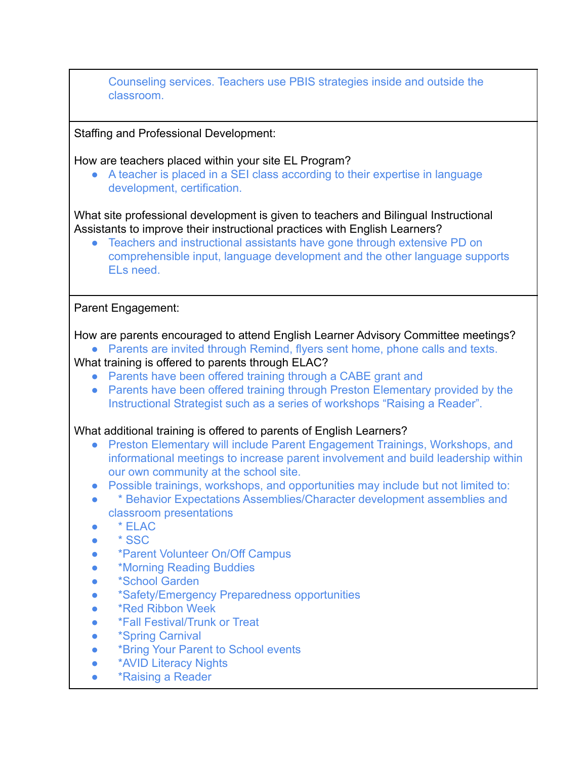| Counseling services. Teachers use PBIS strategies inside and outside the<br>classroom.                                                                                                                                                                                                                                                                                                                                                                                                                                                                                                                                                                                                                                                                                                                                                                                                                                                                                                                                                                                                                                                            |
|---------------------------------------------------------------------------------------------------------------------------------------------------------------------------------------------------------------------------------------------------------------------------------------------------------------------------------------------------------------------------------------------------------------------------------------------------------------------------------------------------------------------------------------------------------------------------------------------------------------------------------------------------------------------------------------------------------------------------------------------------------------------------------------------------------------------------------------------------------------------------------------------------------------------------------------------------------------------------------------------------------------------------------------------------------------------------------------------------------------------------------------------------|
| <b>Staffing and Professional Development:</b>                                                                                                                                                                                                                                                                                                                                                                                                                                                                                                                                                                                                                                                                                                                                                                                                                                                                                                                                                                                                                                                                                                     |
| How are teachers placed within your site EL Program?<br>A teacher is placed in a SEI class according to their expertise in language<br>development, certification.                                                                                                                                                                                                                                                                                                                                                                                                                                                                                                                                                                                                                                                                                                                                                                                                                                                                                                                                                                                |
| What site professional development is given to teachers and Bilingual Instructional<br>Assistants to improve their instructional practices with English Learners?<br>Teachers and instructional assistants have gone through extensive PD on<br>comprehensible input, language development and the other language supports<br>ELs need.                                                                                                                                                                                                                                                                                                                                                                                                                                                                                                                                                                                                                                                                                                                                                                                                           |
| Parent Engagement:                                                                                                                                                                                                                                                                                                                                                                                                                                                                                                                                                                                                                                                                                                                                                                                                                                                                                                                                                                                                                                                                                                                                |
| How are parents encouraged to attend English Learner Advisory Committee meetings?<br>Parents are invited through Remind, flyers sent home, phone calls and texts.<br>What training is offered to parents through ELAC?<br>Parents have been offered training through a CABE grant and<br>$\bullet$<br>Parents have been offered training through Preston Elementary provided by the<br>$\bullet$<br>Instructional Strategist such as a series of workshops "Raising a Reader".<br>What additional training is offered to parents of English Learners?<br>Preston Elementary will include Parent Engagement Trainings, Workshops, and<br>$\bullet$<br>informational meetings to increase parent involvement and build leadership within<br>our own community at the school site.<br>Possible trainings, workshops, and opportunities may include but not limited to:<br>$\bullet$<br>* Behavior Expectations Assemblies/Character development assemblies and<br>classroom presentations<br>* ELAC<br>* SSC<br><i>*Parent Volunteer On/Off Campus</i><br>*Morning Reading Buddies<br>*School Garden<br>*Safety/Emergency Preparedness opportunities |
| <b>*Red Ribbon Week</b><br><b>*Fall Festival/Trunk or Treat</b><br><i><b>*Spring Carnival</b></i><br><i><b>*Bring Your Parent to School events</b></i><br><b>*AVID Literacy Nights</b><br>*Raising a Reader                                                                                                                                                                                                                                                                                                                                                                                                                                                                                                                                                                                                                                                                                                                                                                                                                                                                                                                                       |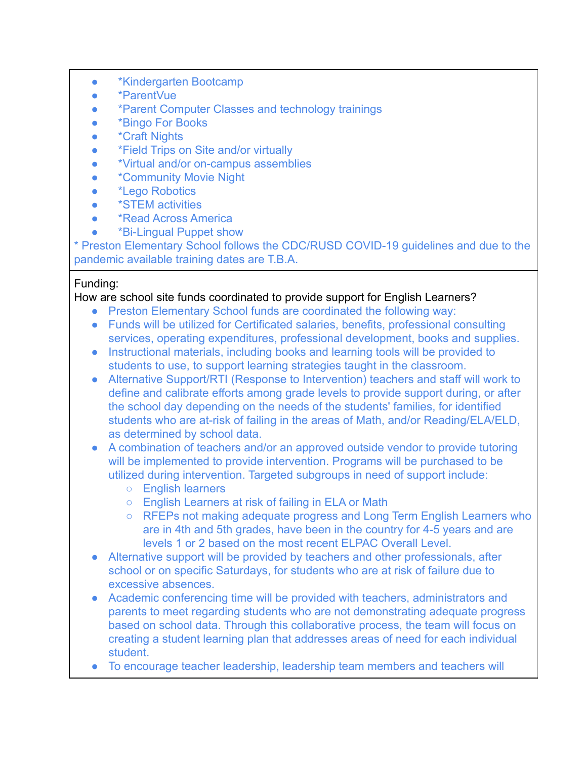- \*Kindergarten Bootcamp
- \*ParentVue
- \*Parent Computer Classes and technology trainings
- \*Bingo For Books
- \*Craft Nights
- \*Field Trips on Site and/or virtually
- \*Virtual and/or on-campus assemblies
- \*Community Movie Night
- \*Lego Robotics
- \*STEM activities
- \*Read Across America
- \*Bi-Lingual Puppet show

\* Preston Elementary School follows the CDC/RUSD COVID-19 guidelines and due to the pandemic available training dates are T.B.A.

#### Funding:

## How are school site funds coordinated to provide support for English Learners?

- Preston Elementary School funds are coordinated the following way:
- Funds will be utilized for Certificated salaries, benefits, professional consulting services, operating expenditures, professional development, books and supplies.
- Instructional materials, including books and learning tools will be provided to students to use, to support learning strategies taught in the classroom.
- Alternative Support/RTI (Response to Intervention) teachers and staff will work to define and calibrate efforts among grade levels to provide support during, or after the school day depending on the needs of the students' families, for identified students who are at-risk of failing in the areas of Math, and/or Reading/ELA/ELD, as determined by school data.
- A combination of teachers and/or an approved outside vendor to provide tutoring will be implemented to provide intervention. Programs will be purchased to be utilized during intervention. Targeted subgroups in need of support include:
	- English learners
	- English Learners at risk of failing in ELA or Math
	- RFEPs not making adequate progress and Long Term English Learners who are in 4th and 5th grades, have been in the country for 4-5 years and are levels 1 or 2 based on the most recent ELPAC Overall Level.
- Alternative support will be provided by teachers and other professionals, after school or on specific Saturdays, for students who are at risk of failure due to excessive absences.
- Academic conferencing time will be provided with teachers, administrators and parents to meet regarding students who are not demonstrating adequate progress based on school data. Through this collaborative process, the team will focus on creating a student learning plan that addresses areas of need for each individual student.
- To encourage teacher leadership, leadership team members and teachers will